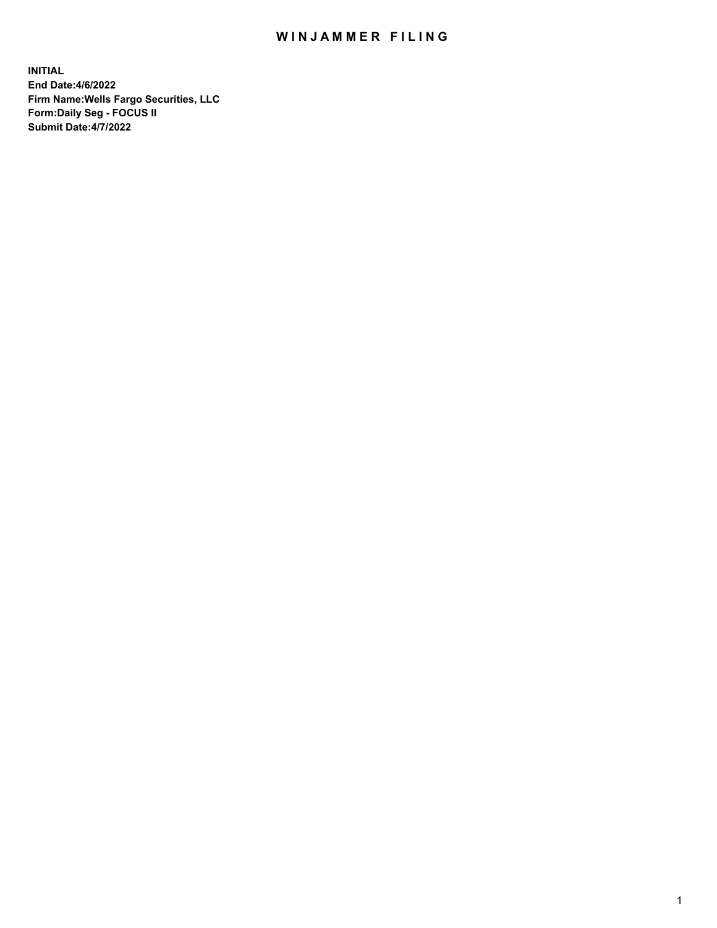## WIN JAMMER FILING

**INITIAL End Date:4/6/2022 Firm Name:Wells Fargo Securities, LLC Form:Daily Seg - FOCUS II Submit Date:4/7/2022**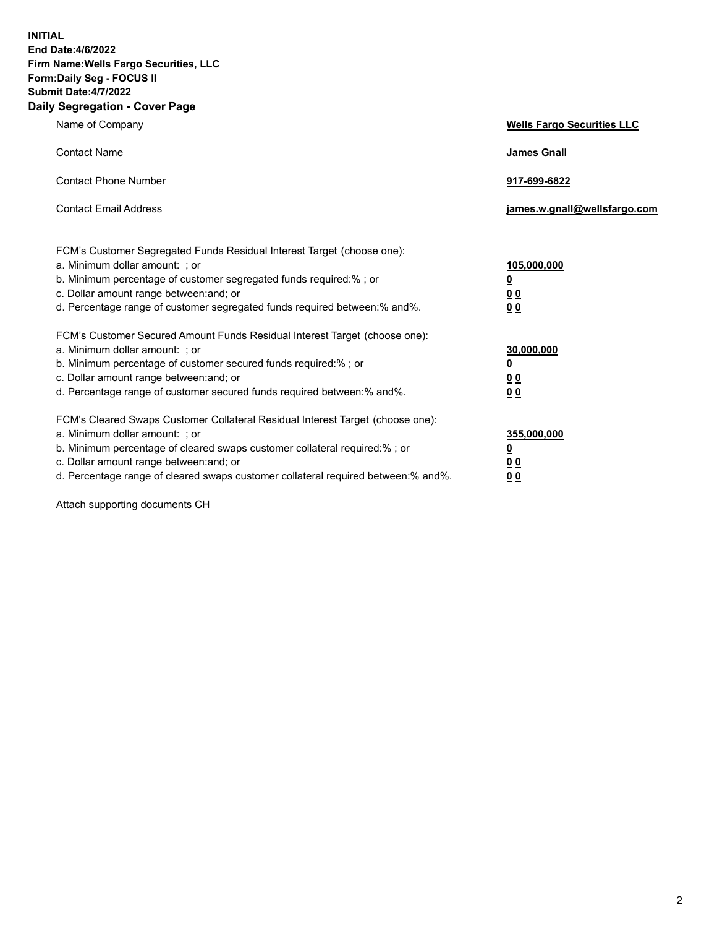**INITIAL End Date:4/6/2022 Firm Name:Wells Fargo Securities, LLC Form:Daily Seg - FOCUS II Submit Date:4/7/2022 Daily Segregation - Cover Page**

| Name of Company                                                                                                  | <b>Wells Fargo Securities LLC</b> |
|------------------------------------------------------------------------------------------------------------------|-----------------------------------|
| <b>Contact Name</b>                                                                                              | <b>James Gnall</b>                |
|                                                                                                                  |                                   |
| <b>Contact Phone Number</b>                                                                                      | 917-699-6822                      |
|                                                                                                                  |                                   |
| <b>Contact Email Address</b>                                                                                     | james.w.gnall@wellsfargo.com      |
|                                                                                                                  |                                   |
| FCM's Customer Segregated Funds Residual Interest Target (choose one):                                           |                                   |
| a. Minimum dollar amount: ; or                                                                                   | 105,000,000                       |
| b. Minimum percentage of customer segregated funds required:% ; or                                               | <u>0</u>                          |
| c. Dollar amount range between: and; or                                                                          | 00                                |
| d. Percentage range of customer segregated funds required between:% and%.                                        | 00                                |
| FCM's Customer Secured Amount Funds Residual Interest Target (choose one):                                       |                                   |
| a. Minimum dollar amount: ; or                                                                                   | 30,000,000                        |
| b. Minimum percentage of customer secured funds required:%; or                                                   | <u>0</u>                          |
| c. Dollar amount range between: and; or                                                                          | 00                                |
| d. Percentage range of customer secured funds required between: % and %.                                         | 0 <sub>0</sub>                    |
|                                                                                                                  |                                   |
| FCM's Cleared Swaps Customer Collateral Residual Interest Target (choose one):<br>a. Minimum dollar amount: ; or | 355,000,000                       |
| b. Minimum percentage of cleared swaps customer collateral required:% ; or                                       | <u>0</u>                          |
| c. Dollar amount range between: and; or                                                                          | <u>00</u>                         |
| d. Percentage range of cleared swaps customer collateral required between:% and%.                                | 00                                |
|                                                                                                                  |                                   |

Attach supporting documents CH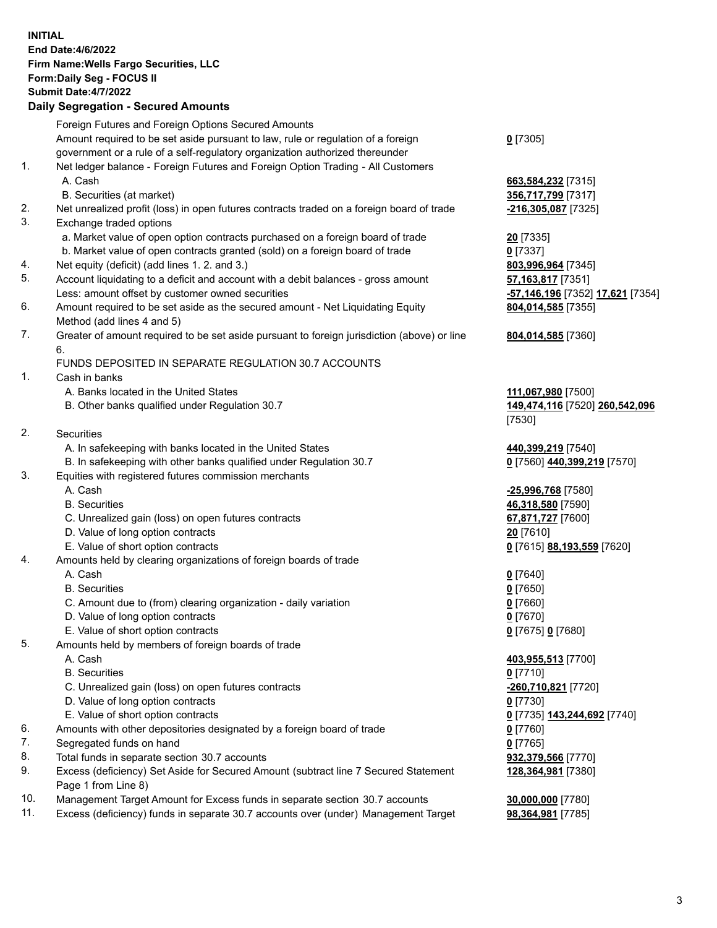**INITIAL End Date:4/6/2022 Firm Name:Wells Fargo Securities, LLC Form:Daily Seg - FOCUS II Submit Date:4/7/2022 Daily Segregation - Secured Amounts** Foreign Futures and Foreign Options Secured Amounts Amount required to be set aside pursuant to law, rule or regulation of a foreign government or a rule of a self-regulatory organization authorized thereunder **0** [7305] 1. Net ledger balance - Foreign Futures and Foreign Option Trading - All Customers A. Cash **663,584,232** [7315] B. Securities (at market) **356,717,799** [7317] 2. Net unrealized profit (loss) in open futures contracts traded on a foreign board of trade **-216,305,087** [7325] 3. Exchange traded options a. Market value of open option contracts purchased on a foreign board of trade **20** [7335] b. Market value of open contracts granted (sold) on a foreign board of trade **0** [7337] 4. Net equity (deficit) (add lines 1. 2. and 3.) **803,996,964** [7345] 5. Account liquidating to a deficit and account with a debit balances - gross amount **57,163,817** [7351] Less: amount offset by customer owned securities **-57,146,196** [7352] **17,621** [7354] 6. Amount required to be set aside as the secured amount - Net Liquidating Equity Method (add lines 4 and 5) **804,014,585** [7355] 7. Greater of amount required to be set aside pursuant to foreign jurisdiction (above) or line 6. **804,014,585** [7360] FUNDS DEPOSITED IN SEPARATE REGULATION 30.7 ACCOUNTS 1. Cash in banks A. Banks located in the United States **111,067,980** [7500] B. Other banks qualified under Regulation 30.7 **149,474,116** [7520] **260,542,096** [7530] 2. Securities A. In safekeeping with banks located in the United States **440,399,219** [7540] B. In safekeeping with other banks qualified under Regulation 30.7 **0** [7560] **440,399,219** [7570] 3. Equities with registered futures commission merchants A. Cash **-25,996,768** [7580] B. Securities **46,318,580** [7590] C. Unrealized gain (loss) on open futures contracts **67,871,727** [7600] D. Value of long option contracts **20** [7610] E. Value of short option contracts **0** [7615] **88,193,559** [7620] 4. Amounts held by clearing organizations of foreign boards of trade A. Cash **0** [7640] B. Securities **0** [7650] C. Amount due to (from) clearing organization - daily variation **0** [7660] D. Value of long option contracts **0** [7670] E. Value of short option contracts **0** [7675] **0** [7680] 5. Amounts held by members of foreign boards of trade A. Cash **403,955,513** [7700] B. Securities **0** [7710] C. Unrealized gain (loss) on open futures contracts **-260,710,821** [7720] D. Value of long option contracts **0** [7730] E. Value of short option contracts **0** [7735] **143,244,692** [7740] 6. Amounts with other depositories designated by a foreign board of trade **0** [7760] 7. Segregated funds on hand **0** [7765] 8. Total funds in separate section 30.7 accounts **932,379,566** [7770] 9. Excess (deficiency) Set Aside for Secured Amount (subtract line 7 Secured Statement Page 1 from Line 8) **128,364,981** [7380] 10. Management Target Amount for Excess funds in separate section 30.7 accounts **30,000,000** [7780]

11. Excess (deficiency) funds in separate 30.7 accounts over (under) Management Target **98,364,981** [7785]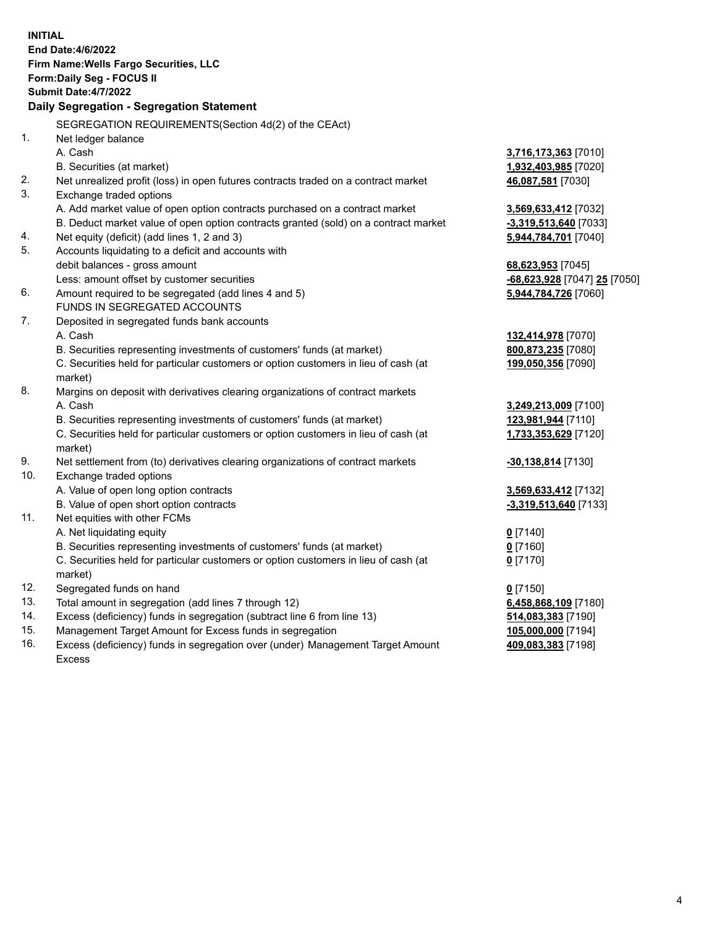| SEGREGATION REQUIREMENTS(Section 4d(2) of the CEAct)<br>1.<br>Net ledger balance<br>A. Cash<br>3,716,173,363 [7010]<br>B. Securities (at market)<br>1,932,403,985 [7020]<br>2.<br>Net unrealized profit (loss) in open futures contracts traded on a contract market<br>46,087,581 [7030]<br>3.<br>Exchange traded options<br>A. Add market value of open option contracts purchased on a contract market<br>3,569,633,412 [7032]<br>B. Deduct market value of open option contracts granted (sold) on a contract market<br>$-3,319,513,640$ [7033]<br>Net equity (deficit) (add lines 1, 2 and 3)<br>4.<br>5,944,784,701 [7040]<br>5.<br>Accounts liquidating to a deficit and accounts with<br>debit balances - gross amount<br>68,623,953 [7045]<br>Less: amount offset by customer securities<br>-68,623,928 [7047] 25 [7050]<br>6.<br>Amount required to be segregated (add lines 4 and 5)<br>5,944,784,726 [7060]<br>FUNDS IN SEGREGATED ACCOUNTS<br>7.<br>Deposited in segregated funds bank accounts<br>A. Cash<br>132,414,978 [7070] |  |
|-----------------------------------------------------------------------------------------------------------------------------------------------------------------------------------------------------------------------------------------------------------------------------------------------------------------------------------------------------------------------------------------------------------------------------------------------------------------------------------------------------------------------------------------------------------------------------------------------------------------------------------------------------------------------------------------------------------------------------------------------------------------------------------------------------------------------------------------------------------------------------------------------------------------------------------------------------------------------------------------------------------------------------------------------|--|
|                                                                                                                                                                                                                                                                                                                                                                                                                                                                                                                                                                                                                                                                                                                                                                                                                                                                                                                                                                                                                                               |  |
|                                                                                                                                                                                                                                                                                                                                                                                                                                                                                                                                                                                                                                                                                                                                                                                                                                                                                                                                                                                                                                               |  |
|                                                                                                                                                                                                                                                                                                                                                                                                                                                                                                                                                                                                                                                                                                                                                                                                                                                                                                                                                                                                                                               |  |
|                                                                                                                                                                                                                                                                                                                                                                                                                                                                                                                                                                                                                                                                                                                                                                                                                                                                                                                                                                                                                                               |  |
|                                                                                                                                                                                                                                                                                                                                                                                                                                                                                                                                                                                                                                                                                                                                                                                                                                                                                                                                                                                                                                               |  |
|                                                                                                                                                                                                                                                                                                                                                                                                                                                                                                                                                                                                                                                                                                                                                                                                                                                                                                                                                                                                                                               |  |
|                                                                                                                                                                                                                                                                                                                                                                                                                                                                                                                                                                                                                                                                                                                                                                                                                                                                                                                                                                                                                                               |  |
|                                                                                                                                                                                                                                                                                                                                                                                                                                                                                                                                                                                                                                                                                                                                                                                                                                                                                                                                                                                                                                               |  |
|                                                                                                                                                                                                                                                                                                                                                                                                                                                                                                                                                                                                                                                                                                                                                                                                                                                                                                                                                                                                                                               |  |
|                                                                                                                                                                                                                                                                                                                                                                                                                                                                                                                                                                                                                                                                                                                                                                                                                                                                                                                                                                                                                                               |  |
|                                                                                                                                                                                                                                                                                                                                                                                                                                                                                                                                                                                                                                                                                                                                                                                                                                                                                                                                                                                                                                               |  |
|                                                                                                                                                                                                                                                                                                                                                                                                                                                                                                                                                                                                                                                                                                                                                                                                                                                                                                                                                                                                                                               |  |
|                                                                                                                                                                                                                                                                                                                                                                                                                                                                                                                                                                                                                                                                                                                                                                                                                                                                                                                                                                                                                                               |  |
|                                                                                                                                                                                                                                                                                                                                                                                                                                                                                                                                                                                                                                                                                                                                                                                                                                                                                                                                                                                                                                               |  |
|                                                                                                                                                                                                                                                                                                                                                                                                                                                                                                                                                                                                                                                                                                                                                                                                                                                                                                                                                                                                                                               |  |
| B. Securities representing investments of customers' funds (at market)<br>800,873,235 [7080]                                                                                                                                                                                                                                                                                                                                                                                                                                                                                                                                                                                                                                                                                                                                                                                                                                                                                                                                                  |  |
| C. Securities held for particular customers or option customers in lieu of cash (at<br>199,050,356 [7090]                                                                                                                                                                                                                                                                                                                                                                                                                                                                                                                                                                                                                                                                                                                                                                                                                                                                                                                                     |  |
| market)                                                                                                                                                                                                                                                                                                                                                                                                                                                                                                                                                                                                                                                                                                                                                                                                                                                                                                                                                                                                                                       |  |
| 8.<br>Margins on deposit with derivatives clearing organizations of contract markets                                                                                                                                                                                                                                                                                                                                                                                                                                                                                                                                                                                                                                                                                                                                                                                                                                                                                                                                                          |  |
| A. Cash<br>3,249,213,009 [7100]                                                                                                                                                                                                                                                                                                                                                                                                                                                                                                                                                                                                                                                                                                                                                                                                                                                                                                                                                                                                               |  |
| B. Securities representing investments of customers' funds (at market)<br>123,981,944 [7110]                                                                                                                                                                                                                                                                                                                                                                                                                                                                                                                                                                                                                                                                                                                                                                                                                                                                                                                                                  |  |
| C. Securities held for particular customers or option customers in lieu of cash (at<br>1,733,353,629 [7120]                                                                                                                                                                                                                                                                                                                                                                                                                                                                                                                                                                                                                                                                                                                                                                                                                                                                                                                                   |  |
| market)                                                                                                                                                                                                                                                                                                                                                                                                                                                                                                                                                                                                                                                                                                                                                                                                                                                                                                                                                                                                                                       |  |
| 9.<br>Net settlement from (to) derivatives clearing organizations of contract markets<br>-30,138,814 [7130]                                                                                                                                                                                                                                                                                                                                                                                                                                                                                                                                                                                                                                                                                                                                                                                                                                                                                                                                   |  |
| 10.<br>Exchange traded options                                                                                                                                                                                                                                                                                                                                                                                                                                                                                                                                                                                                                                                                                                                                                                                                                                                                                                                                                                                                                |  |
| A. Value of open long option contracts<br>3,569,633,412 [7132]                                                                                                                                                                                                                                                                                                                                                                                                                                                                                                                                                                                                                                                                                                                                                                                                                                                                                                                                                                                |  |
| B. Value of open short option contracts<br>-3,319,513,640 [7133]                                                                                                                                                                                                                                                                                                                                                                                                                                                                                                                                                                                                                                                                                                                                                                                                                                                                                                                                                                              |  |
| 11.<br>Net equities with other FCMs                                                                                                                                                                                                                                                                                                                                                                                                                                                                                                                                                                                                                                                                                                                                                                                                                                                                                                                                                                                                           |  |
| A. Net liquidating equity<br>$0$ [7140]                                                                                                                                                                                                                                                                                                                                                                                                                                                                                                                                                                                                                                                                                                                                                                                                                                                                                                                                                                                                       |  |
| B. Securities representing investments of customers' funds (at market)<br>$0$ [7160]                                                                                                                                                                                                                                                                                                                                                                                                                                                                                                                                                                                                                                                                                                                                                                                                                                                                                                                                                          |  |
| C. Securities held for particular customers or option customers in lieu of cash (at<br>$0$ [7170]                                                                                                                                                                                                                                                                                                                                                                                                                                                                                                                                                                                                                                                                                                                                                                                                                                                                                                                                             |  |
| market)<br>12.                                                                                                                                                                                                                                                                                                                                                                                                                                                                                                                                                                                                                                                                                                                                                                                                                                                                                                                                                                                                                                |  |
| Segregated funds on hand<br>$0$ [7150]<br>13.                                                                                                                                                                                                                                                                                                                                                                                                                                                                                                                                                                                                                                                                                                                                                                                                                                                                                                                                                                                                 |  |
| Total amount in segregation (add lines 7 through 12)<br>6,458,868,109 [7180]<br>14.<br>Excess (deficiency) funds in segregation (subtract line 6 from line 13)                                                                                                                                                                                                                                                                                                                                                                                                                                                                                                                                                                                                                                                                                                                                                                                                                                                                                |  |
| 514,083,383 [7190]<br>15.<br>Management Target Amount for Excess funds in segregation<br>105,000,000 [7194]                                                                                                                                                                                                                                                                                                                                                                                                                                                                                                                                                                                                                                                                                                                                                                                                                                                                                                                                   |  |
| 16.<br>Excess (deficiency) funds in segregation over (under) Management Target Amount<br>409,083,383 [7198]                                                                                                                                                                                                                                                                                                                                                                                                                                                                                                                                                                                                                                                                                                                                                                                                                                                                                                                                   |  |
| <b>Excess</b>                                                                                                                                                                                                                                                                                                                                                                                                                                                                                                                                                                                                                                                                                                                                                                                                                                                                                                                                                                                                                                 |  |